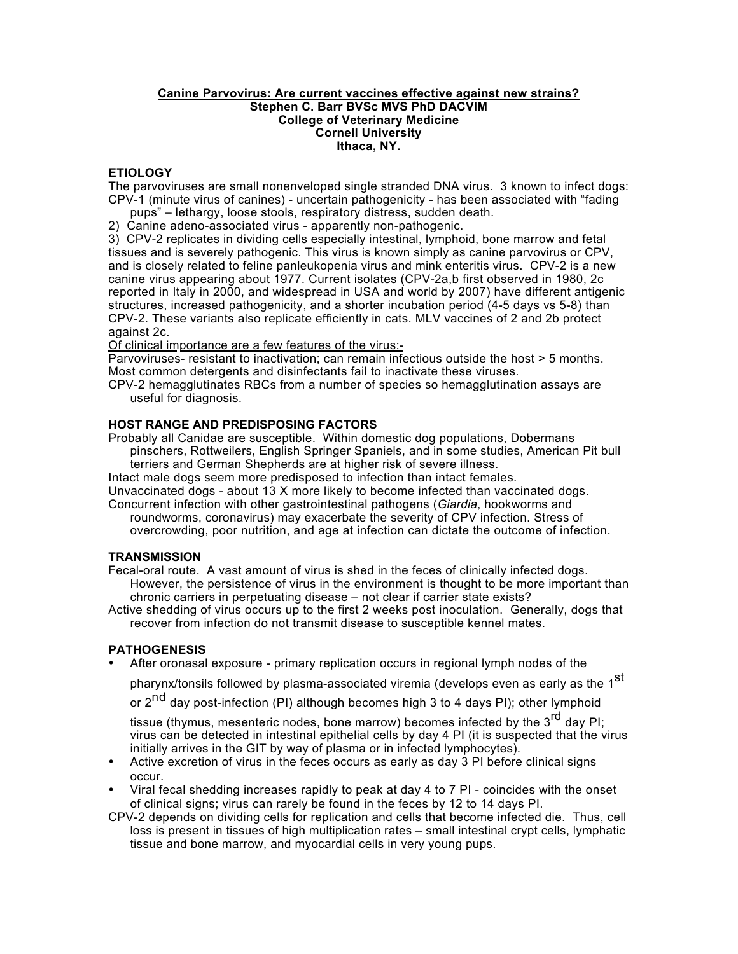### **Canine Parvovirus: Are current vaccines effective against new strains? Stephen C. Barr BVSc MVS PhD DACVIM College of Veterinary Medicine Cornell University Ithaca, NY.**

# **ETIOLOGY**

The parvoviruses are small nonenveloped single stranded DNA virus. 3 known to infect dogs: CPV-1 (minute virus of canines) - uncertain pathogenicity - has been associated with "fading

- pups" lethargy, loose stools, respiratory distress, sudden death.
- 2) Canine adeno-associated virus apparently non-pathogenic.

3) CPV-2 replicates in dividing cells especially intestinal, lymphoid, bone marrow and fetal tissues and is severely pathogenic. This virus is known simply as canine parvovirus or CPV, and is closely related to feline panleukopenia virus and mink enteritis virus. CPV-2 is a new canine virus appearing about 1977. Current isolates (CPV-2a,b first observed in 1980, 2c reported in Italy in 2000, and widespread in USA and world by 2007) have different antigenic structures, increased pathogenicity, and a shorter incubation period (4-5 days vs 5-8) than CPV-2. These variants also replicate efficiently in cats. MLV vaccines of 2 and 2b protect against 2c.

Of clinical importance are a few features of the virus:-

Parvoviruses- resistant to inactivation; can remain infectious outside the host > 5 months. Most common detergents and disinfectants fail to inactivate these viruses.

CPV-2 hemagglutinates RBCs from a number of species so hemagglutination assays are useful for diagnosis.

## **HOST RANGE AND PREDISPOSING FACTORS**

Probably all Canidae are susceptible. Within domestic dog populations, Dobermans pinschers, Rottweilers, English Springer Spaniels, and in some studies, American Pit bull terriers and German Shepherds are at higher risk of severe illness.

Intact male dogs seem more predisposed to infection than intact females.

Unvaccinated dogs - about 13 X more likely to become infected than vaccinated dogs.

Concurrent infection with other gastrointestinal pathogens (*Giardia*, hookworms and roundworms, coronavirus) may exacerbate the severity of CPV infection. Stress of overcrowding, poor nutrition, and age at infection can dictate the outcome of infection.

## **TRANSMISSION**

Fecal-oral route. A vast amount of virus is shed in the feces of clinically infected dogs. However, the persistence of virus in the environment is thought to be more important than chronic carriers in perpetuating disease – not clear if carrier state exists?

Active shedding of virus occurs up to the first 2 weeks post inoculation. Generally, dogs that recover from infection do not transmit disease to susceptible kennel mates.

## **PATHOGENESIS**

• After oronasal exposure - primary replication occurs in regional lymph nodes of the

pharynx/tonsils followed by plasma-associated viremia (develops even as early as the 1<sup>st</sup>

or 2<sup>nd</sup> day post-infection (PI) although becomes high 3 to 4 days PI); other lymphoid

tissue (thymus, mesenteric nodes, bone marrow) becomes infected by the 3<sup>rd</sup> day PI: virus can be detected in intestinal epithelial cells by day 4 PI (it is suspected that the virus initially arrives in the GIT by way of plasma or in infected lymphocytes).

- Active excretion of virus in the feces occurs as early as day 3 PI before clinical signs occur.
- Viral fecal shedding increases rapidly to peak at day 4 to 7 PI coincides with the onset of clinical signs; virus can rarely be found in the feces by 12 to 14 days PI.
- CPV-2 depends on dividing cells for replication and cells that become infected die. Thus, cell loss is present in tissues of high multiplication rates – small intestinal crypt cells, lymphatic tissue and bone marrow, and myocardial cells in very young pups.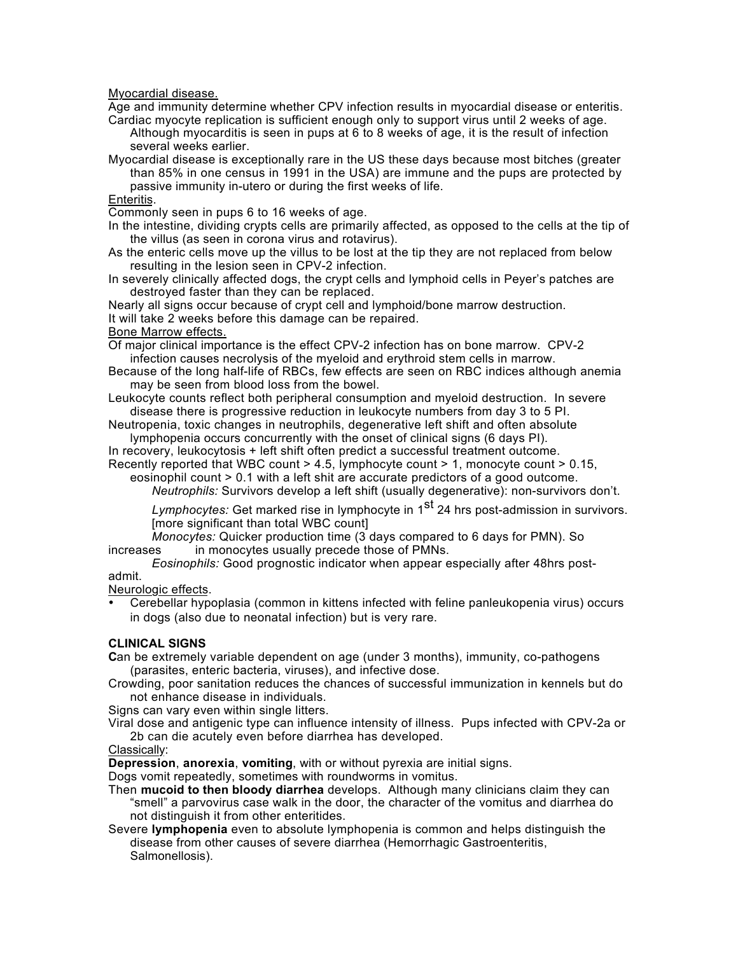Myocardial disease.

Age and immunity determine whether CPV infection results in myocardial disease or enteritis. Cardiac myocyte replication is sufficient enough only to support virus until 2 weeks of age.

Although myocarditis is seen in pups at 6 to 8 weeks of age, it is the result of infection several weeks earlier.

Myocardial disease is exceptionally rare in the US these days because most bitches (greater than 85% in one census in 1991 in the USA) are immune and the pups are protected by passive immunity in-utero or during the first weeks of life.

### Enteritis.

Commonly seen in pups 6 to 16 weeks of age.

- In the intestine, dividing crypts cells are primarily affected, as opposed to the cells at the tip of the villus (as seen in corona virus and rotavirus).
- As the enteric cells move up the villus to be lost at the tip they are not replaced from below resulting in the lesion seen in CPV-2 infection.
- In severely clinically affected dogs, the crypt cells and lymphoid cells in Peyer's patches are destroyed faster than they can be replaced.

Nearly all signs occur because of crypt cell and lymphoid/bone marrow destruction. It will take 2 weeks before this damage can be repaired.

# Bone Marrow effects.

Of major clinical importance is the effect CPV-2 infection has on bone marrow. CPV-2 infection causes necrolysis of the myeloid and erythroid stem cells in marrow.

- Because of the long half-life of RBCs, few effects are seen on RBC indices although anemia may be seen from blood loss from the bowel.
- Leukocyte counts reflect both peripheral consumption and myeloid destruction. In severe disease there is progressive reduction in leukocyte numbers from day 3 to 5 PI.
- Neutropenia, toxic changes in neutrophils, degenerative left shift and often absolute lymphopenia occurs concurrently with the onset of clinical signs (6 days PI).

In recovery, leukocytosis + left shift often predict a successful treatment outcome. Recently reported that WBC count > 4.5, lymphocyte count > 1, monocyte count > 0.15,

eosinophil count > 0.1 with a left shit are accurate predictors of a good outcome.

*Neutrophils:* Survivors develop a left shift (usually degenerative): non-survivors don't.

*Lymphocytes:* Get marked rise in lymphocyte in 1<sup>st</sup> 24 hrs post-admission in survivors.

[more significant than total WBC count]

*Monocytes:* Quicker production time (3 days compared to 6 days for PMN). So increases in monocytes usually precede those of PMNs.

*Eosinophils:* Good prognostic indicator when appear especially after 48hrs postadmit.

Neurologic effects.

• Cerebellar hypoplasia (common in kittens infected with feline panleukopenia virus) occurs in dogs (also due to neonatal infection) but is very rare.

### **CLINICAL SIGNS**

**C**an be extremely variable dependent on age (under 3 months), immunity, co-pathogens (parasites, enteric bacteria, viruses), and infective dose.

Crowding, poor sanitation reduces the chances of successful immunization in kennels but do not enhance disease in individuals.

Signs can vary even within single litters.

Viral dose and antigenic type can influence intensity of illness. Pups infected with CPV-2a or 2b can die acutely even before diarrhea has developed.

### Classically:

**Depression**, **anorexia**, **vomiting**, with or without pyrexia are initial signs.

Dogs vomit repeatedly, sometimes with roundworms in vomitus.

- Then **mucoid to then bloody diarrhea** develops. Although many clinicians claim they can "smell" a parvovirus case walk in the door, the character of the vomitus and diarrhea do not distinguish it from other enteritides.
- Severe **lymphopenia** even to absolute lymphopenia is common and helps distinguish the disease from other causes of severe diarrhea (Hemorrhagic Gastroenteritis, Salmonellosis).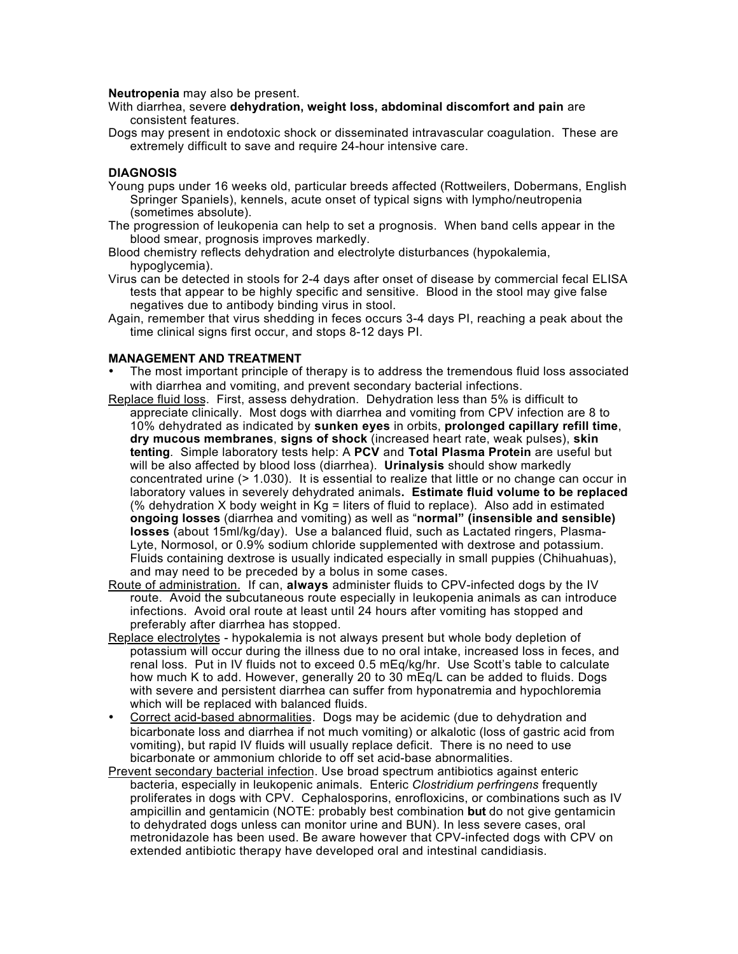#### **Neutropenia** may also be present.

- With diarrhea, severe **dehydration, weight loss, abdominal discomfort and pain** are consistent features.
- Dogs may present in endotoxic shock or disseminated intravascular coagulation. These are extremely difficult to save and require 24-hour intensive care.

### **DIAGNOSIS**

- Young pups under 16 weeks old, particular breeds affected (Rottweilers, Dobermans, English Springer Spaniels), kennels, acute onset of typical signs with lympho/neutropenia (sometimes absolute).
- The progression of leukopenia can help to set a prognosis. When band cells appear in the blood smear, prognosis improves markedly.
- Blood chemistry reflects dehydration and electrolyte disturbances (hypokalemia, hypoglycemia).
- Virus can be detected in stools for 2-4 days after onset of disease by commercial fecal ELISA tests that appear to be highly specific and sensitive. Blood in the stool may give false negatives due to antibody binding virus in stool.
- Again, remember that virus shedding in feces occurs 3-4 days PI, reaching a peak about the time clinical signs first occur, and stops 8-12 days PI.

### **MANAGEMENT AND TREATMENT**

- The most important principle of therapy is to address the tremendous fluid loss associated with diarrhea and vomiting, and prevent secondary bacterial infections.
- Replace fluid loss. First, assess dehydration. Dehydration less than 5% is difficult to appreciate clinically. Most dogs with diarrhea and vomiting from CPV infection are 8 to 10% dehydrated as indicated by **sunken eyes** in orbits, **prolonged capillary refill time**, **dry mucous membranes**, **signs of shock** (increased heart rate, weak pulses), **skin tenting**. Simple laboratory tests help: A **PCV** and **Total Plasma Protein** are useful but will be also affected by blood loss (diarrhea). **Urinalysis** should show markedly concentrated urine (> 1.030). It is essential to realize that little or no change can occur in laboratory values in severely dehydrated animals**. Estimate fluid volume to be replaced** (% dehydration X body weight in  $Ka =$  liters of fluid to replace). Also add in estimated **ongoing losses** (diarrhea and vomiting) as well as "**normal" (insensible and sensible) losses** (about 15ml/kg/day). Use a balanced fluid, such as Lactated ringers, Plasma-Lyte, Normosol, or 0.9% sodium chloride supplemented with dextrose and potassium. Fluids containing dextrose is usually indicated especially in small puppies (Chihuahuas), and may need to be preceded by a bolus in some cases.
- Route of administration. If can, **always** administer fluids to CPV-infected dogs by the IV route. Avoid the subcutaneous route especially in leukopenia animals as can introduce infections. Avoid oral route at least until 24 hours after vomiting has stopped and preferably after diarrhea has stopped.
- Replace electrolytes hypokalemia is not always present but whole body depletion of potassium will occur during the illness due to no oral intake, increased loss in feces, and renal loss. Put in IV fluids not to exceed 0.5 mEq/kg/hr. Use Scott's table to calculate how much K to add. However, generally 20 to 30 mEq/L can be added to fluids. Dogs with severe and persistent diarrhea can suffer from hyponatremia and hypochloremia which will be replaced with balanced fluids.
- Correct acid-based abnormalities. Dogs may be acidemic (due to dehydration and bicarbonate loss and diarrhea if not much vomiting) or alkalotic (loss of gastric acid from vomiting), but rapid IV fluids will usually replace deficit. There is no need to use bicarbonate or ammonium chloride to off set acid-base abnormalities.
- Prevent secondary bacterial infection. Use broad spectrum antibiotics against enteric bacteria, especially in leukopenic animals. Enteric *Clostridium perfringens* frequently proliferates in dogs with CPV. Cephalosporins, enrofloxicins, or combinations such as IV ampicillin and gentamicin (NOTE: probably best combination **but** do not give gentamicin to dehydrated dogs unless can monitor urine and BUN). In less severe cases, oral metronidazole has been used. Be aware however that CPV-infected dogs with CPV on extended antibiotic therapy have developed oral and intestinal candidiasis.